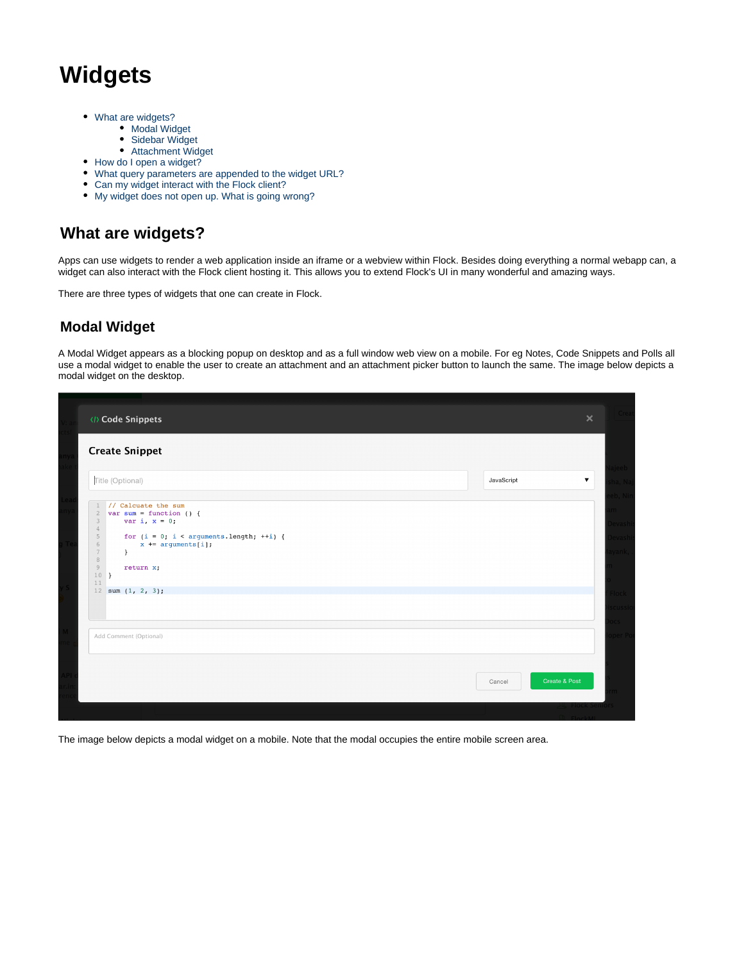# **Widgets**

- [What are widgets?](#page-0-0)
	- [Modal Widget](#page-0-1)
	- [Sidebar Widget](#page-1-0)
- [Attachment Widget](#page-1-1) • [How do I open a widget?](#page-2-0)
- [What query parameters are appended to the widget URL?](#page-3-0)
- [Can my widget interact with the Flock client?](#page-3-1)
- [My widget does not open up. What is going wrong?](#page-3-2)

## <span id="page-0-0"></span>**What are widgets?**

Apps can use widgets to render a web application inside an iframe or a webview within Flock. Besides doing everything a normal webapp can, a widget can also interact with the Flock client hosting it. This allows you to extend Flock's UI in many wonderful and amazing ways.

There are three types of widgets that one can create in Flock.

## <span id="page-0-1"></span>**Modal Widget**

A Modal Widget appears as a blocking popup on desktop and as a full window web view on a mobile. For eg Notes, Code Snippets and Polls all use a modal widget to enable the user to create an attachment and an attachment picker button to launch the same. The image below depicts a modal widget on the desktop.

| <b>Create Snippet</b>                                                                                  |                         |                      |
|--------------------------------------------------------------------------------------------------------|-------------------------|----------------------|
| Title (Optional)                                                                                       | JavaScript              | $\blacktriangledown$ |
| // Calcuate the sum                                                                                    |                         |                      |
| var sum = function () {<br>$\overline{2}$<br>var i, $x = 0$ ;<br>$\mathcal{Z}$<br>$4\phantom{.}$       |                         |                      |
| for $(i = 0; i < arguments.length; ++i)$ {<br>5<br>6<br>$x == arguments[i];$<br>$7\phantom{.}$<br>$\}$ |                         |                      |
| $\,$ 8 $\,$<br>$9$<br>return x;<br>$10$ }                                                              |                         |                      |
| 11<br>12 sum $(1, 2, 3)$ ;                                                                             |                         |                      |
|                                                                                                        |                         |                      |
|                                                                                                        |                         |                      |
| Add Comment (Optional)                                                                                 |                         |                      |
|                                                                                                        |                         |                      |
|                                                                                                        | Create & Post<br>Cancel |                      |

The image below depicts a modal widget on a mobile. Note that the modal occupies the entire mobile screen area.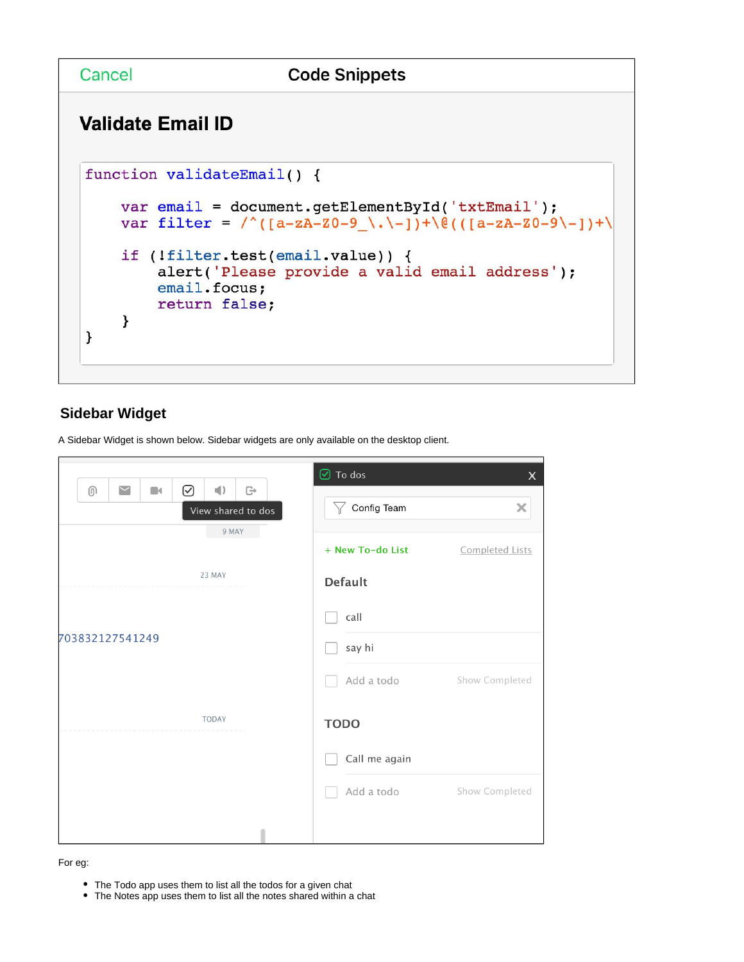Cancel

## **Validate Email ID**

```
function validateEmail() {
    var email = document.getElementById('txtEmail');
    var filter = /\ (a - zA - z0 - 9 \ \ . \ -1) + \0 ((a - zA - z0 - 9 \ -1) + \)if (!filter.test(email.value)) {
         alert('Please provide a valid email address');
         email.focus;
         return false;
    \mathcal{Y}\mathcal{F}
```
## <span id="page-1-0"></span>**Sidebar Widget**

A Sidebar Widget is shown below. Sidebar widgets are only available on the desktop client.

| $\sim$                                                                                                              | $\Theta$ To dos  | $\pmb{\times}$  |
|---------------------------------------------------------------------------------------------------------------------|------------------|-----------------|
| ☑<br>$\left  \cdot \right $<br>$\textcircled{\scriptsize{0}}$<br>G<br>$\blacksquare$<br>View shared to dos<br>9 MAY | Config Team<br>Y | ×               |
|                                                                                                                     | + New To-do List | Completed Lists |
| 23 MAY                                                                                                              | <b>Default</b>   |                 |
|                                                                                                                     | call             |                 |
| 703832127541249                                                                                                     | say hi           |                 |
|                                                                                                                     | Add a todo       | Show Completed  |
| <b>TODAY</b>                                                                                                        | <b>TODO</b>      |                 |
|                                                                                                                     | Call me again    |                 |
|                                                                                                                     | Add a todo       | Show Completed  |
|                                                                                                                     |                  |                 |

#### <span id="page-1-1"></span>For eg:

- The Todo app uses them to list all the todos for a given chat
- The Notes app uses them to list all the notes shared within a chat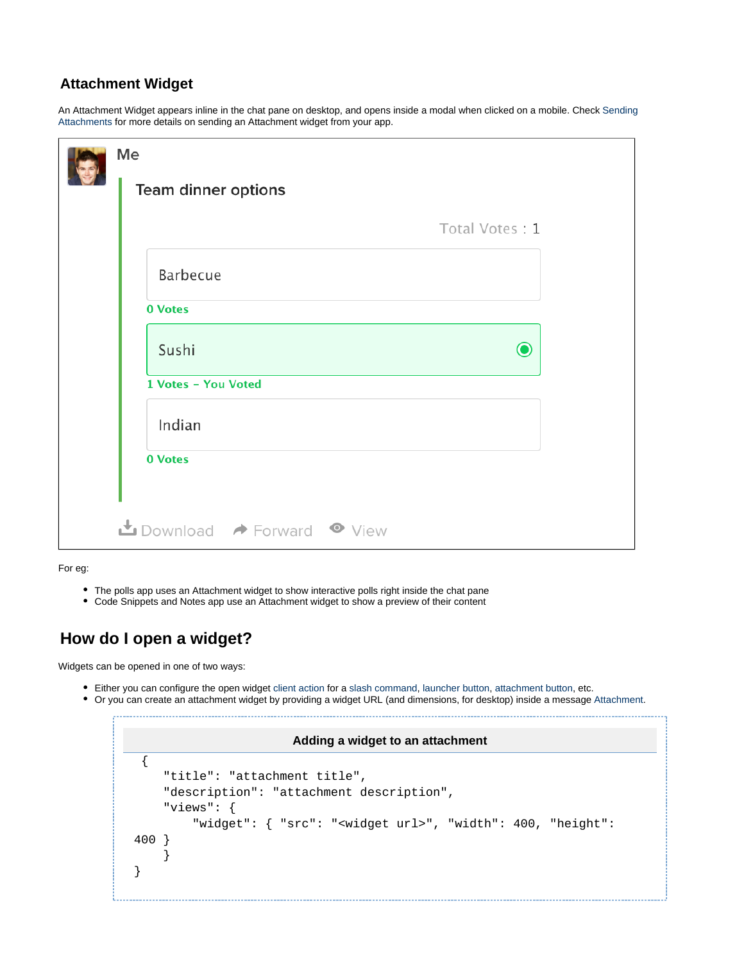#### **Attachment Widget**

An Attachment Widget appears inline in the chat pane on desktop, and opens inside a modal when clicked on a mobile. Check [Sending](https://docs.flock.com/display/flockos/Sending+Attachments)  [Attachments](https://docs.flock.com/display/flockos/Sending+Attachments) for more details on sending an Attachment widget from your app.

| Team dinner options |                |
|---------------------|----------------|
|                     | Total Votes: 1 |
| Barbecue            |                |
| 0 Votes             |                |
| Sushi               | $\odot$        |
| 1 Votes - You Voted |                |
| Indian              |                |
| 0 Votes             |                |

For eg:

- The polls app uses an Attachment widget to show interactive polls right inside the chat pane
- Code Snippets and Notes app use an Attachment widget to show a preview of their content

## <span id="page-2-0"></span>**How do I open a widget?**

Widgets can be opened in one of two ways:

Either you can configure the open widget [client action](https://docs.flock.com/display/flockos/Client+Actions) for a [slash command,](https://docs.flock.com/display/flockos/Slash+Commands) [launcher button](https://docs.flock.com/display/flockos/Launcher+Buttons), attachment button, etc.

Or you can create an attachment widget by providing a widget URL (and dimensions, for desktop) inside a message [Attachment.](https://docs.flock.com/display/flockos/Attachment)

#### **Adding a widget to an attachment**

```
 {
     "title": "attachment title",
     "description": "attachment description",
     "views": {
         "widget": { "src": "<widget url>", "width": 400, "height": 
400 }
     }
}
```